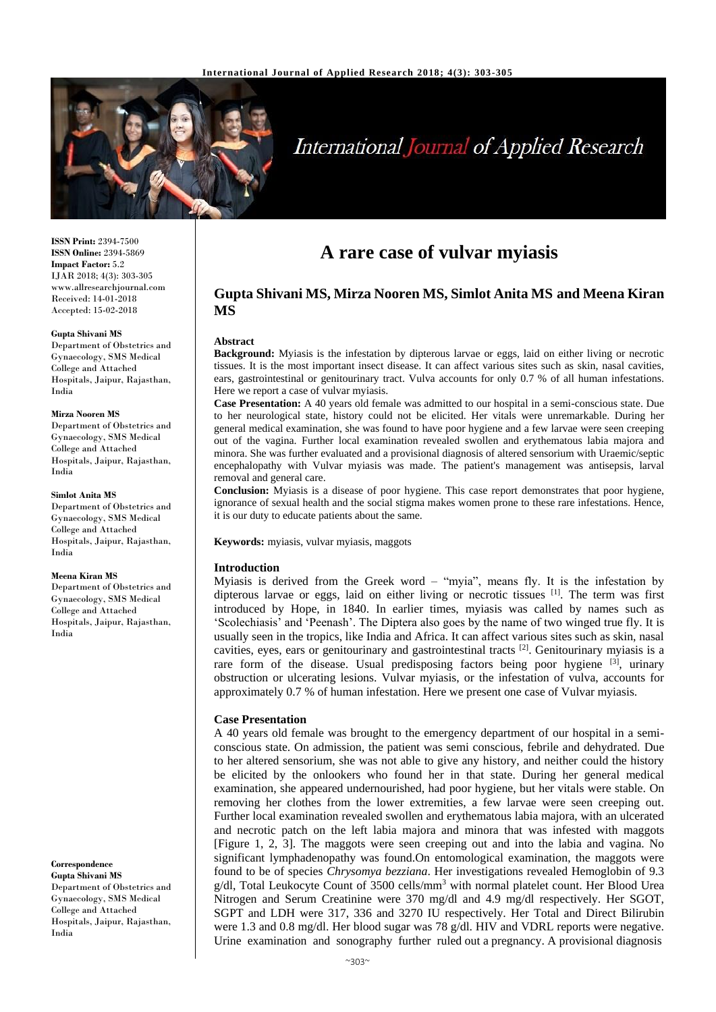

# **International Journal of Applied Research**

**ISSN Print:** 2394-7500 **ISSN Online:** 2394-5869 **Impact Factor:** 5.2 IJAR 2018; 4(3): 303-305 www.allresearchjournal.com Received: 14-01-2018 Accepted: 15-02-2018

### **Gupta Shivani MS**

Department of Obstetrics and Gynaecology, SMS Medical College and Attached Hospitals, Jaipur, Rajasthan, India

### **Mirza Nooren MS**

Department of Obstetrics and Gynaecology, SMS Medical College and Attached Hospitals, Jaipur, Rajasthan, India

#### **Simlot Anita MS**

Department of Obstetrics and Gynaecology, SMS Medical College and Attached Hospitals, Jaipur, Rajasthan, India

### **Meena Kiran MS**

Department of Obstetrics and Gynaecology, SMS Medical College and Attached Hospitals, Jaipur, Rajasthan, India

### **Correspondence**

**Gupta Shivani MS** Department of Obstetrics and Gynaecology, SMS Medical College and Attached Hospitals, Jaipur, Rajasthan, India

## **A rare case of vulvar myiasis**

### **Gupta Shivani MS, Mirza Nooren MS, Simlot Anita MS and Meena Kiran MS**

### **Abstract**

**Background:** Myiasis is the infestation by dipterous larvae or eggs, laid on either living or necrotic tissues. It is the most important insect disease. It can affect various sites such as skin, nasal cavities, ears, gastrointestinal or genitourinary tract. Vulva accounts for only 0.7 % of all human infestations. Here we report a case of vulvar myiasis.

**Case Presentation:** A 40 years old female was admitted to our hospital in a semi-conscious state. Due to her neurological state, history could not be elicited. Her vitals were unremarkable. During her general medical examination, she was found to have poor hygiene and a few larvae were seen creeping out of the vagina. Further local examination revealed swollen and erythematous labia majora and minora. She was further evaluated and a provisional diagnosis of altered sensorium with Uraemic/septic encephalopathy with Vulvar myiasis was made. The patient's management was antisepsis, larval removal and general care.

**Conclusion:** Myiasis is a disease of poor hygiene. This case report demonstrates that poor hygiene, ignorance of sexual health and the social stigma makes women prone to these rare infestations. Hence, it is our duty to educate patients about the same.

**Keywords:** myiasis, vulvar myiasis, maggots

### **Introduction**

Myiasis is derived from the Greek word – "myia", means fly. It is the infestation by dipterous larvae or eggs, laid on either living or necrotic tissues [1]. The term was first introduced by Hope, in 1840. In earlier times, myiasis was called by names such as 'Scolechiasis' and 'Peenash'. The Diptera also goes by the name of two winged true fly. It is usually seen in the tropics, like India and Africa. It can affect various sites such as skin, nasal cavities, eyes, ears or genitourinary and gastrointestinal tracts [2]. Genitourinary myiasis is a rare form of the disease. Usual predisposing factors being poor hygiene  $[3]$ , urinary obstruction or ulcerating lesions. Vulvar myiasis, or the infestation of vulva, accounts for approximately 0.7 % of human infestation. Here we present one case of Vulvar myiasis.

### **Case Presentation**

A 40 years old female was brought to the emergency department of our hospital in a semiconscious state. On admission, the patient was semi conscious, febrile and dehydrated. Due to her altered sensorium, she was not able to give any history, and neither could the history be elicited by the onlookers who found her in that state. During her general medical examination, she appeared undernourished, had poor hygiene, but her vitals were stable. On removing her clothes from the lower extremities, a few larvae were seen creeping out. Further local examination revealed swollen and erythematous labia majora, with an ulcerated and necrotic patch on the left labia majora and minora that was infested with maggots [Figure 1, 2, 3]. The maggots were seen creeping out and into the labia and vagina. No significant lymphadenopathy was found.On entomological examination, the maggots were found to be of species *Chrysomya bezziana*. Her investigations revealed Hemoglobin of 9.3  $g/dl$ , Total Leukocyte Count of 3500 cells/mm<sup>3</sup> with normal platelet count. Her Blood Urea Nitrogen and Serum Creatinine were 370 mg/dl and 4.9 mg/dl respectively. Her SGOT, SGPT and LDH were 317, 336 and 3270 IU respectively. Her Total and Direct Bilirubin were 1.3 and 0.8 mg/dl. Her blood sugar was 78 g/dl. HIV and VDRL reports were negative. Urine examination and sonography further ruled out a pregnancy. A provisional diagnosis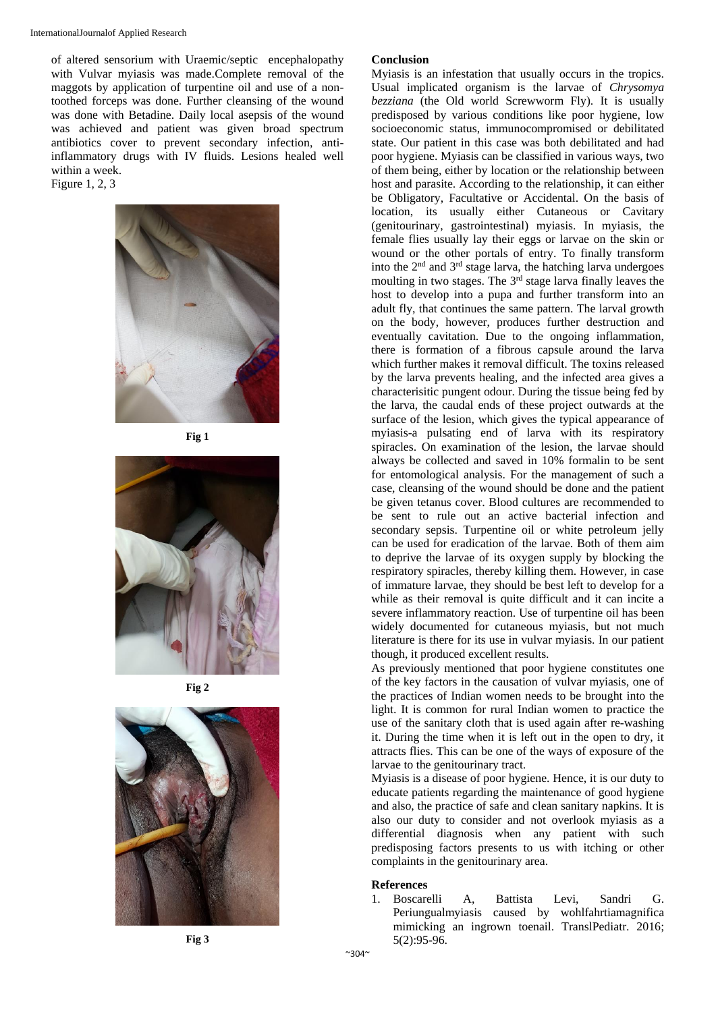InternationalJournalof Applied Research

of altered sensorium with Uraemic/septic encephalopathy with Vulvar myiasis was made.Complete removal of the maggots by application of turpentine oil and use of a nontoothed forceps was done. Further cleansing of the wound was done with Betadine. Daily local asepsis of the wound was achieved and patient was given broad spectrum antibiotics cover to prevent secondary infection, antiinflammatory drugs with IV fluids. Lesions healed well within a week.

Figure 1, 2, 3







**Fig 2**



### **Conclusion**

Myiasis is an infestation that usually occurs in the tropics. Usual implicated organism is the larvae of *Chrysomya bezziana* (the Old world Screwworm Fly). It is usually predisposed by various conditions like poor hygiene, low socioeconomic status, immunocompromised or debilitated state. Our patient in this case was both debilitated and had poor hygiene. Myiasis can be classified in various ways, two of them being, either by location or the relationship between host and parasite. According to the relationship, it can either be Obligatory, Facultative or Accidental. On the basis of location, its usually either Cutaneous or Cavitary (genitourinary, gastrointestinal) myiasis. In myiasis, the female flies usually lay their eggs or larvae on the skin or wound or the other portals of entry. To finally transform into the  $2<sup>nd</sup>$  and  $3<sup>rd</sup>$  stage larva, the hatching larva undergoes moulting in two stages. The 3<sup>rd</sup> stage larva finally leaves the host to develop into a pupa and further transform into an adult fly, that continues the same pattern. The larval growth on the body, however, produces further destruction and eventually cavitation. Due to the ongoing inflammation, there is formation of a fibrous capsule around the larva which further makes it removal difficult. The toxins released by the larva prevents healing, and the infected area gives a characterisitic pungent odour. During the tissue being fed by the larva, the caudal ends of these project outwards at the surface of the lesion, which gives the typical appearance of myiasis-a pulsating end of larva with its respiratory spiracles. On examination of the lesion, the larvae should always be collected and saved in 10% formalin to be sent for entomological analysis. For the management of such a case, cleansing of the wound should be done and the patient be given tetanus cover. Blood cultures are recommended to be sent to rule out an active bacterial infection and secondary sepsis. Turpentine oil or white petroleum jelly can be used for eradication of the larvae. Both of them aim to deprive the larvae of its oxygen supply by blocking the respiratory spiracles, thereby killing them. However, in case of immature larvae, they should be best left to develop for a while as their removal is quite difficult and it can incite a severe inflammatory reaction. Use of turpentine oil has been widely documented for cutaneous myiasis, but not much literature is there for its use in vulvar myiasis. In our patient though, it produced excellent results.

As previously mentioned that poor hygiene constitutes one of the key factors in the causation of vulvar myiasis, one of the practices of Indian women needs to be brought into the light. It is common for rural Indian women to practice the use of the sanitary cloth that is used again after re-washing it. During the time when it is left out in the open to dry, it attracts flies. This can be one of the ways of exposure of the larvae to the genitourinary tract.

Myiasis is a disease of poor hygiene. Hence, it is our duty to educate patients regarding the maintenance of good hygiene and also, the practice of safe and clean sanitary napkins. It is also our duty to consider and not overlook myiasis as a differential diagnosis when any patient with such predisposing factors presents to us with itching or other complaints in the genitourinary area.

### **References**

1. Boscarelli A, Battista Levi, Sandri G. Periungualmyiasis caused by wohlfahrtiamagnifica mimicking an ingrown toenail. TranslPediatr. 2016; 5(2):95-96.